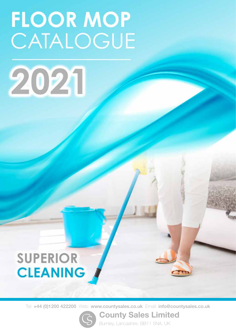# **FLOOR MOP** CATALOGUE



### **SUPERIOR CLEANING**

Tel: +44 (0)1200 422200 Web: www.countysales.co.uk Email: info@countysales.co.uk

County Sales Limited

Burnley, Lancashire. BB11 5NA. UK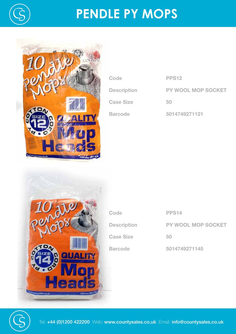

## **PENDLE PY MOPS**



| <b>PPS12</b>              |
|---------------------------|
| <b>PY WOOL MOP SOCKET</b> |
| 50                        |
| 5014749271121             |
|                           |



| Code               | <b>PPS14</b>              |
|--------------------|---------------------------|
| <b>Description</b> | <b>PY WOOL MOP SOCKET</b> |
| <b>Case Size</b>   | 50                        |
| <b>Barcode</b>     | 5014749271145             |

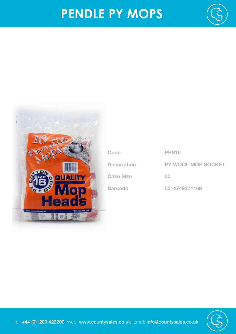# **PENDLE PY MOPS**





| Code               | <b>PPS16</b>              |
|--------------------|---------------------------|
| <b>Description</b> | <b>PY WOOL MOP SOCKET</b> |
| <b>Case Size</b>   | 50                        |
| <b>Barcode</b>     | 5014749271169             |



Tel: +44 (0)1200 422200 Web: www.countysales.co.uk Email: info@countysales.co.uk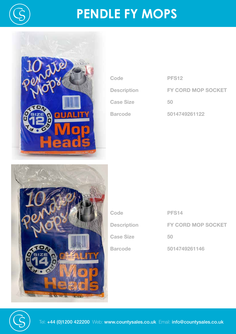

## **PENDLE FY MOPS**



| Code               | <b>PFS12</b>              |
|--------------------|---------------------------|
| <b>Description</b> | <b>FY CORD MOP SOCKET</b> |
| <b>Case Size</b>   | 50                        |
| <b>Barcode</b>     | 5014749261122             |
|                    |                           |



| Code               | <b>PFS14</b>              |
|--------------------|---------------------------|
| <b>Description</b> | <b>FY CORD MOP SOCKET</b> |
| <b>Case Size</b>   | 50                        |
| <b>Barcode</b>     | 5014749261146             |

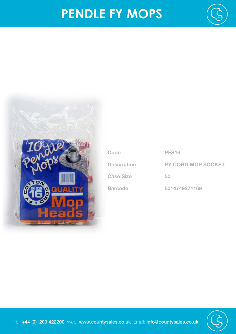## **PENDLE FY MOPS**





| Code               | <b>PFS16</b>              |
|--------------------|---------------------------|
| <b>Description</b> | <b>PY CORD MOP SOCKET</b> |
| <b>Case Size</b>   | 50                        |
| <b>Barcode</b>     | 5014749271169             |

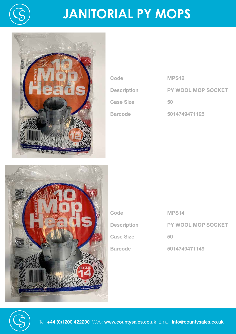

# **JANITORIAL PY MOPS**



| Code               | <b>MPS12</b>              |
|--------------------|---------------------------|
| <b>Description</b> | <b>PY WOOL MOP SOCKET</b> |
| <b>Case Size</b>   | 50                        |
| <b>Barcode</b>     | 5014749471125             |



| Code               | <b>MPS14</b>              |
|--------------------|---------------------------|
| <b>Description</b> | <b>PY WOOL MOP SOCKET</b> |
| <b>Case Size</b>   | 50                        |
| <b>Barcode</b>     | 5014749471149             |

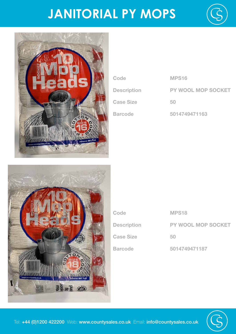## **JANITORIAL PY MOPS**





| Code               | <b>MPS16</b>              |
|--------------------|---------------------------|
| <b>Description</b> | <b>PY WOOL MOP SOCKET</b> |
| <b>Case Size</b>   | 50                        |
| <b>Barcode</b>     | 5014749471163             |



| Code               | <b>MPS18</b>              |
|--------------------|---------------------------|
| <b>Description</b> | <b>PY WOOL MOP SOCKET</b> |
| <b>Case Size</b>   | 50                        |
| <b>Barcode</b>     | 5014749471187             |

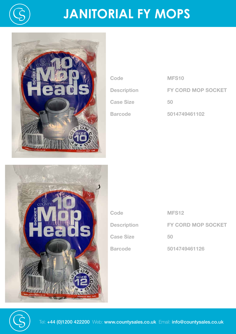

# **JANITORIAL FY MOPS**



| Code               | MFS <sub>10</sub>         |
|--------------------|---------------------------|
| <b>Description</b> | <b>FY CORD MOP SOCKET</b> |
| <b>Case Size</b>   | 50                        |
| <b>Barcode</b>     | 5014749461102             |



| Code               | <b>MFS12</b>              |
|--------------------|---------------------------|
| <b>Description</b> | <b>FY CORD MOP SOCKET</b> |
| <b>Case Size</b>   | 50                        |
| <b>Barcode</b>     | 5014749461126             |

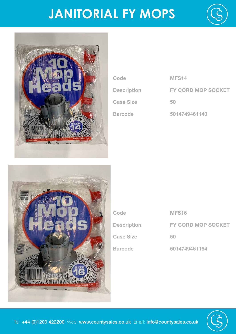## **JANITORIAL FY MOPS**





| Code               | <b>MFS14</b>              |
|--------------------|---------------------------|
| <b>Description</b> | <b>FY CORD MOP SOCKET</b> |
| <b>Case Size</b>   | 50                        |
| <b>Barcode</b>     | 5014749461140             |



| Code               | <b>MFS16</b>              |
|--------------------|---------------------------|
| <b>Description</b> | <b>FY CORD MOP SOCKET</b> |
| <b>Case Size</b>   | 50                        |
| <b>Barcode</b>     | 5014749461164             |

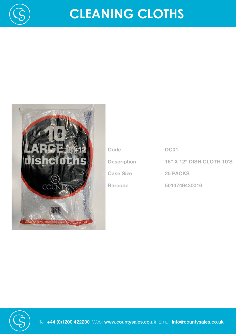

# **CLEANING CLOTHS**



| Code               | <b>DC01</b>                      |
|--------------------|----------------------------------|
| <b>Description</b> | <b>16" X 12" DISH CLOTH 10'S</b> |
| <b>Case Size</b>   | <b>25 PACKS</b>                  |
| <b>Barcode</b>     | 5014749430016                    |



Tel: +44 (0)1200 422200 Web: www.countysales.co.uk Email: info@countysales.co.uk